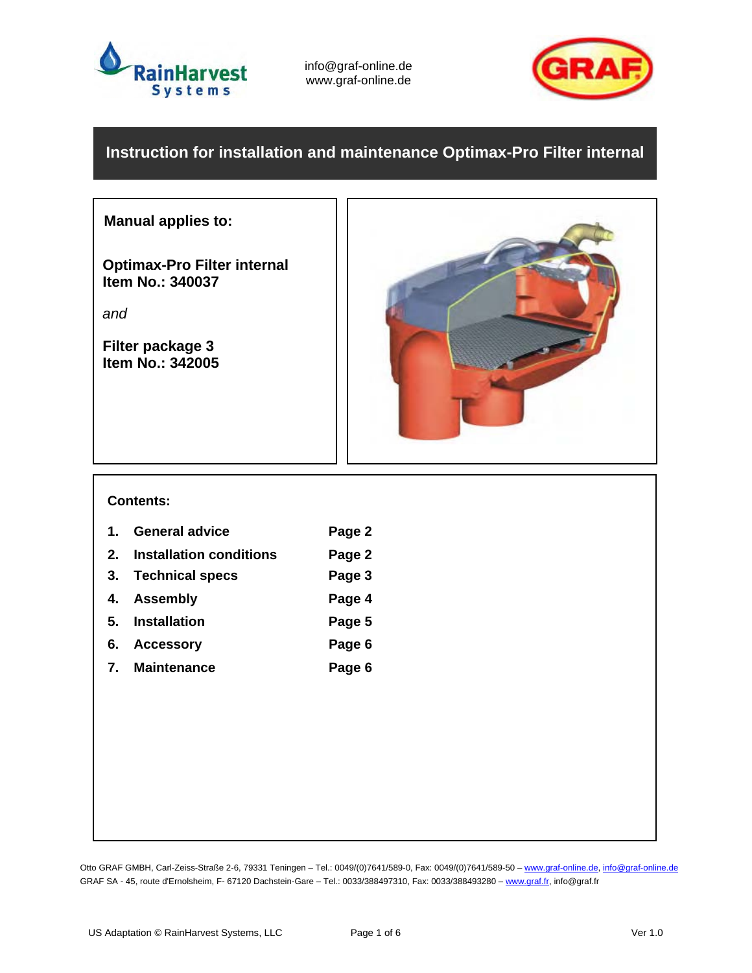

info@graf-online.de www.graf-online.de



## **Instruction for installation and maintenance Optimax-Pro Filter internal**

## **Manual applies to:**

**Optimax-Pro Filter internal Item No.: 340037** 

*and*

**Filter package 3 Item No.: 342005** 



#### **Contents:**

- 1. General advice **Page 2 2. Installation conditions Page 2 3. Technical specs Page 3 4. Assembly Page 4**
- **5. Installation Page 5**
- **6. Accessory Page 6**
- **7. Maintenance Page 6**

Otto GRAF GMBH, Carl-Zeiss-Straße 2-6, 79331 Teningen - Tel.: 0049/(0)7641/589-0, Fax: 0049/(0)7641/589-50 - www.graf-online.de, info@graf-online.de GRAF SA - 45, route d'Ernolsheim, F- 67120 Dachstein-Gare - Tel.: 0033/388497310, Fax: 0033/388493280 - www.graf.fr, info@graf.fr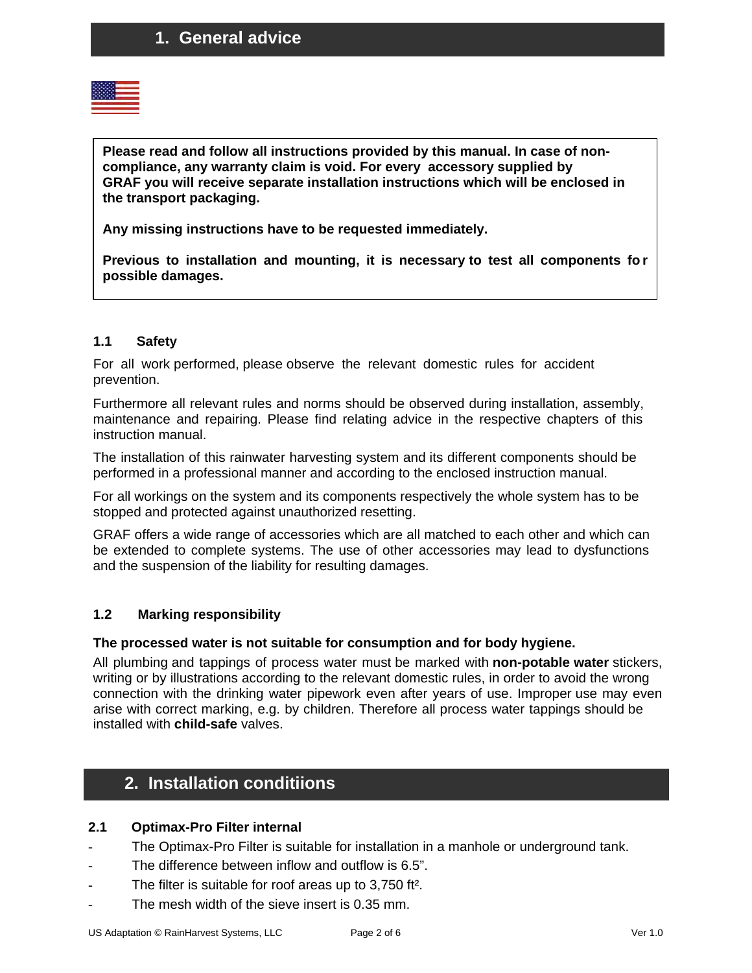

**Please read and follow all instructions provided by this manual. In case of noncompliance, any warranty claim is void. For every accessory supplied by GRAF you will receive separate installation instructions which will be enclosed in the transport packaging.** 

**Any missing instructions have to be requested immediately.** 

**Previous to installation and mounting, it is necessary to test all components fo r possible damages.**

#### **1.1 Safety**

For all work performed, please observe the relevant domestic rules for accident prevention.

Furthermore all relevant rules and norms should be observed during installation, assembly, maintenance and repairing. Please find relating advice in the respective chapters of this instruction manual.

The installation of this rainwater harvesting system and its different components should be performed in a professional manner and according to the enclosed instruction manual.

For all workings on the system and its components respectively the whole system has to be stopped and protected against unauthorized resetting.

GRAF offers a wide range of accessories which are all matched to each other and which can be extended to complete systems. The use of other accessories may lead to dysfunctions and the suspension of the liability for resulting damages.

## **1.2 Marking responsibility**

#### **The processed water is not suitable for consumption and for body hygiene.**

All plumbing and tappings of process water must be marked with **non-potable water** stickers, writing or by illustrations according to the relevant domestic rules, in order to avoid the wrong connection with the drinking water pipework even after years of use. Improper use may even arise with correct marking, e.g. by children. Therefore all process water tappings should be installed with **child-safe** valves.

# **2. Installation conditiions**

#### **2.1 Optimax-Pro Filter internal**

- The Optimax-Pro Filter is suitable for installation in a manhole or underground tank.
- The difference between inflow and outflow is 6.5".
- The filter is suitable for roof areas up to 3,750 ft<sup>2</sup>.
- The mesh width of the sieve insert is 0.35 mm.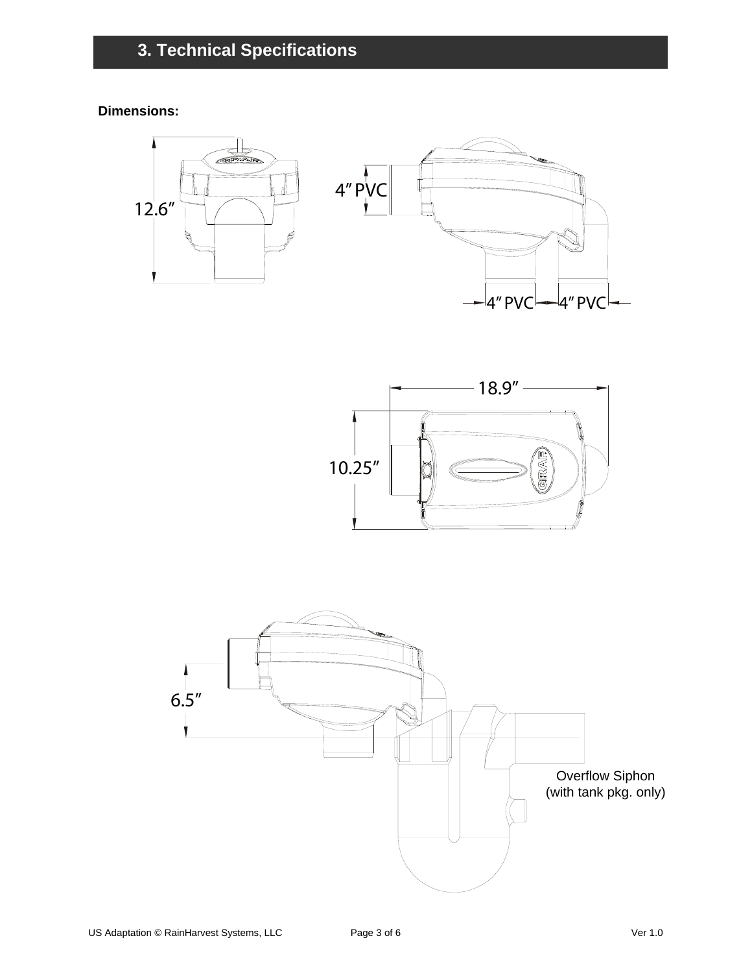**Dimensions:** 





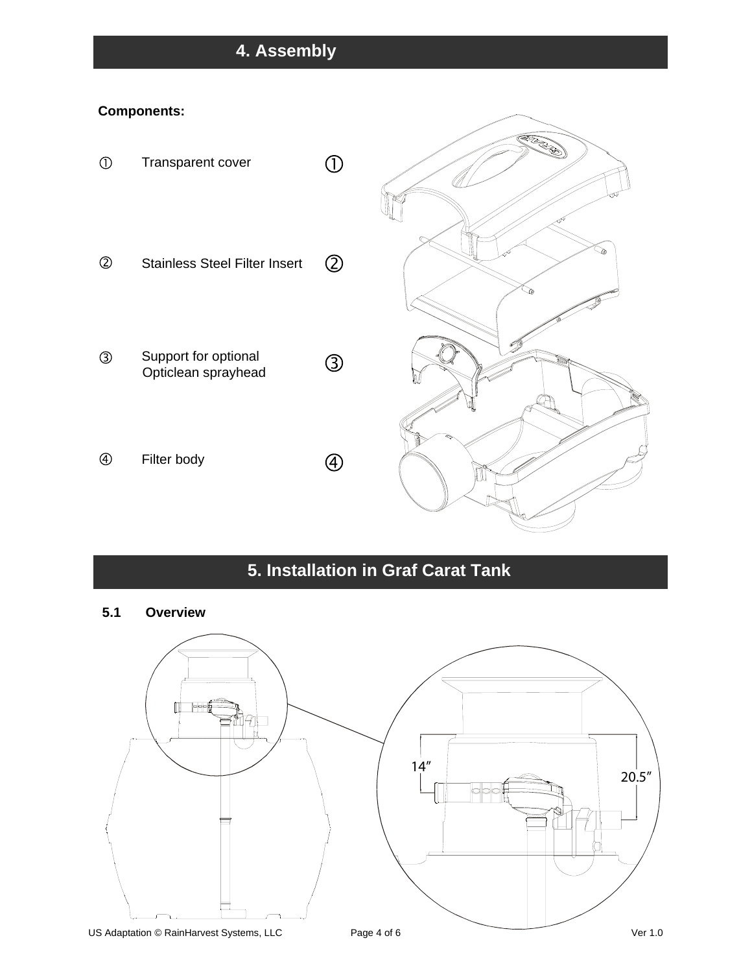# **4. Assembly**

## **Components:**



# **5. Installation in Graf Carat Tank**

**5.1 Overview** 

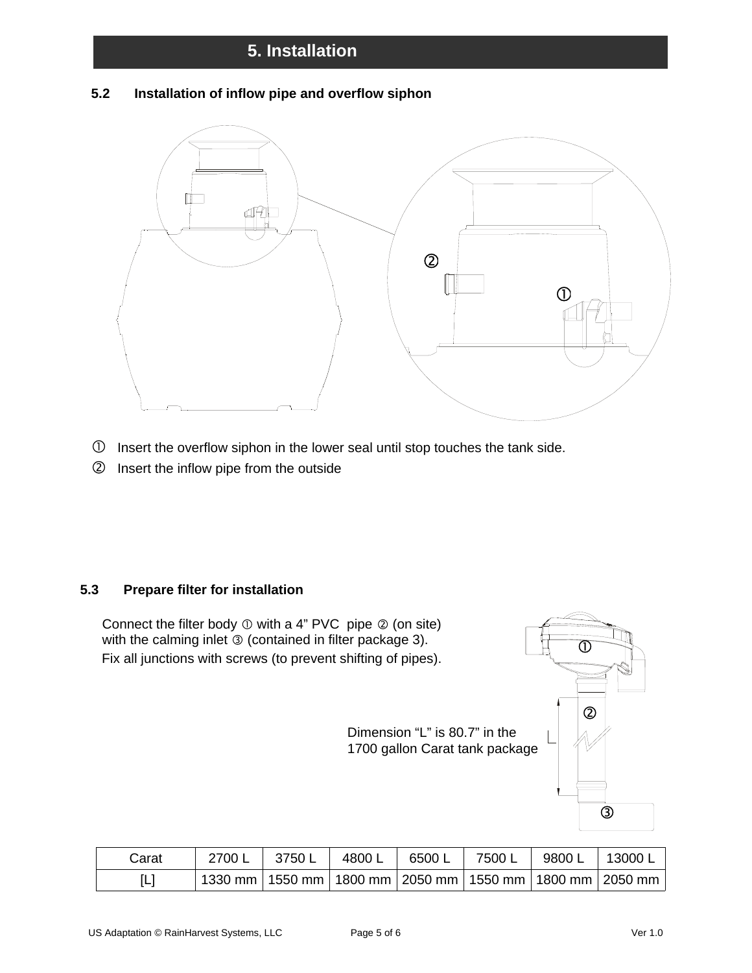# **5. Installation**

## **5.2 Installation of inflow pipe and overflow siphon**



- $\Phi$  Insert the overflow siphon in the lower seal until stop touches the tank side.
- Insert the inflow pipe from the outside

## **5.3 Prepare filter for installation**

Connect the filter body  $\mathbb O$  with a 4" PVC pipe  $\mathbb O$  (on site) with the calming inlet  $\circledcirc$  (contained in filter package 3). Fix all junctions with screws (to prevent shifting of pipes).

② Dimension "L" is 80.7" in the 1700 gallon Carat tank package  $\circledS$ 

| Carat | 2700 L | 3750 L | 4800 L | 6500 L | 7500 L | 9800 L | 13000 ட                                                               |
|-------|--------|--------|--------|--------|--------|--------|-----------------------------------------------------------------------|
|       |        |        |        |        |        |        | ່ 1330 mm   1550 mm   1800 mm   2050 mm   1550 mm   1800 mm   2050 mm |